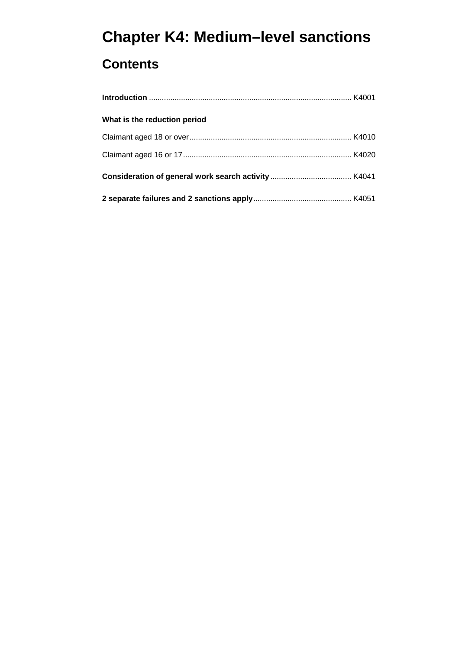# **Chapter K4: Medium–level sanctions Contents**

| What is the reduction period |  |
|------------------------------|--|
|                              |  |
|                              |  |
|                              |  |
|                              |  |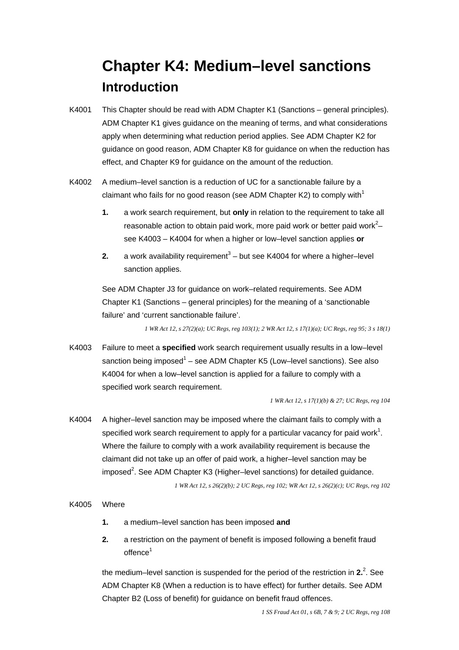## **Chapter K4: Medium–level sanctions Introduction**

- K4001 This Chapter should be read with ADM Chapter K1 (Sanctions general principles). ADM Chapter K1 gives guidance on the meaning of terms, and what considerations apply when determining what reduction period applies. See ADM Chapter K2 for guidance on good reason, ADM Chapter K8 for guidance on when the reduction has effect, and Chapter K9 for guidance on the amount of the reduction.
- K4002 A medium–level sanction is a reduction of UC for a sanctionable failure by a claimant who fails for no good reason (see ADM Chapter K2) to comply with<sup>1</sup>
	- **1.** a work search requirement, but **only** in relation to the requirement to take all reasonable action to obtain paid work, more paid work or better paid work $2$ see K4003 – K4004 for when a higher or low–level sanction applies **or**
	- **2.** a work availability requirement<sup>3</sup> but see K4004 for where a higher–level sanction applies.

See ADM Chapter J3 for guidance on work–related requirements. See ADM Chapter K1 (Sanctions – general principles) for the meaning of a 'sanctionable failure' and 'current sanctionable failure'.

*1 WR Act 12, s 27(2)(a); UC Regs, reg 103(1); 2 WR Act 12, s 17(1)(a); UC Regs, reg 95; 3 s 18(1)* 

K4003 Failure to meet a **specified** work search requirement usually results in a low–level sanction being imposed<sup>1</sup> – see ADM Chapter K5 (Low–level sanctions). See also K4004 for when a low–level sanction is applied for a failure to comply with a specified work search requirement.

*1 WR Act 12, s 17(1)(b) & 27; UC Regs, reg 104* 

K4004 A higher–level sanction may be imposed where the claimant fails to comply with a specified work search requirement to apply for a particular vacancy for paid work<sup>1</sup>. Where the failure to comply with a work availability requirement is because the claimant did not take up an offer of paid work, a higher–level sanction may be imposed<sup>2</sup>. See ADM Chapter K3 (Higher–level sanctions) for detailed guidance.

*1 WR Act 12, s 26(2)(b); 2 UC Regs, reg 102; WR Act 12, s 26(2)(c); UC Regs, reg 102* 

#### K4005 Where

- **1.** a medium–level sanction has been imposed **and**
- **2.** a restriction on the payment of benefit is imposed following a benefit fraud  $offence<sup>1</sup>$

the medium–level sanction is suspended for the period of the restriction in **2.**<sup>2</sup> . See ADM Chapter K8 (When a reduction is to have effect) for further details. See ADM Chapter B2 (Loss of benefit) for guidance on benefit fraud offences.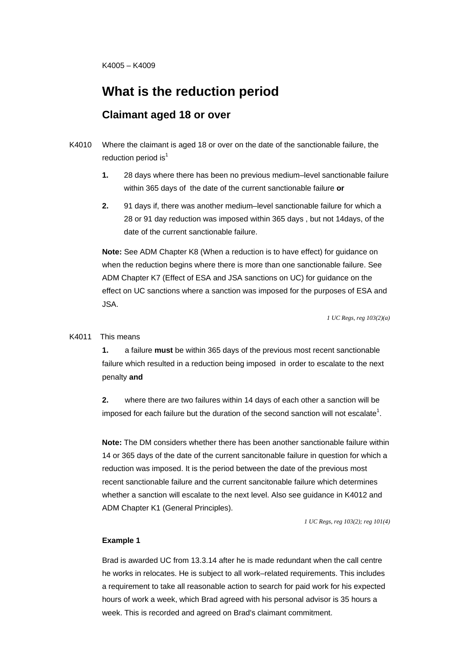## **What is the reduction period**

#### **Claimant aged 18 or over**

- K4010 Where the claimant is aged 18 or over on the date of the sanctionable failure, the reduction period is $<sup>1</sup>$ </sup>
	- **1.** 28 days where there has been no previous medium–level sanctionable failure within 365 days of the date of the current sanctionable failure **or**
	- **2.** 91 days if, there was another medium–level sanctionable failure for which a 28 or 91 day reduction was imposed within 365 days , but not 14days, of the date of the current sanctionable failure.

**Note:** See ADM Chapter K8 (When a reduction is to have effect) for guidance on when the reduction begins where there is more than one sanctionable failure. See ADM Chapter K7 (Effect of ESA and JSA sanctions on UC) for guidance on the effect on UC sanctions where a sanction was imposed for the purposes of ESA and JSA.

*1 UC Regs, reg 103(2)(a)* 

#### K4011 This means

**1.** a failure **must** be within 365 days of the previous most recent sanctionable failure which resulted in a reduction being imposed in order to escalate to the next penalty **and** 

**2.** where there are two failures within 14 days of each other a sanction will be imposed for each failure but the duration of the second sanction will not escalate<sup>1</sup>.

**Note:** The DM considers whether there has been another sanctionable failure within 14 or 365 days of the date of the current sancitonable failure in question for which a reduction was imposed. It is the period between the date of the previous most recent sanctionable failure and the current sancitonable failure which determines whether a sanction will escalate to the next level. Also see guidance in K4012 and ADM Chapter K1 (General Principles).

 *1 UC Regs, reg 103(2); reg 101(4)* 

#### **Example 1**

Brad is awarded UC from 13.3.14 after he is made redundant when the call centre he works in relocates. He is subject to all work–related requirements. This includes a requirement to take all reasonable action to search for paid work for his expected hours of work a week, which Brad agreed with his personal advisor is 35 hours a week. This is recorded and agreed on Brad's claimant commitment.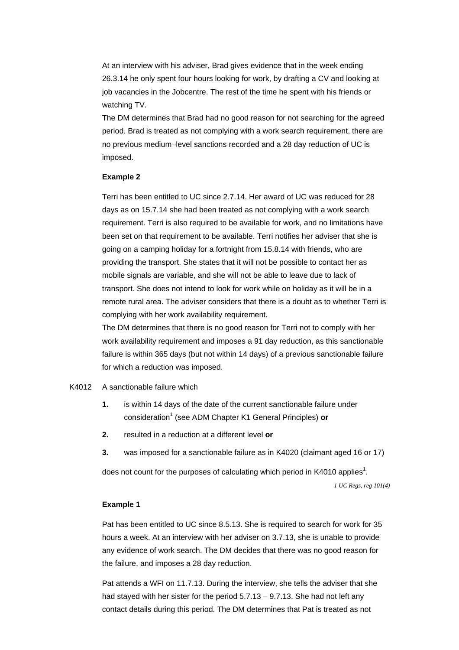At an interview with his adviser, Brad gives evidence that in the week ending 26.3.14 he only spent four hours looking for work, by drafting a CV and looking at job vacancies in the Jobcentre. The rest of the time he spent with his friends or watching TV.

The DM determines that Brad had no good reason for not searching for the agreed period. Brad is treated as not complying with a work search requirement, there are no previous medium–level sanctions recorded and a 28 day reduction of UC is imposed.

#### **Example 2**

Terri has been entitled to UC since 2.7.14. Her award of UC was reduced for 28 days as on 15.7.14 she had been treated as not complying with a work search requirement. Terri is also required to be available for work, and no limitations have been set on that requirement to be available. Terri notifies her adviser that she is going on a camping holiday for a fortnight from 15.8.14 with friends, who are providing the transport. She states that it will not be possible to contact her as mobile signals are variable, and she will not be able to leave due to lack of transport. She does not intend to look for work while on holiday as it will be in a remote rural area. The adviser considers that there is a doubt as to whether Terri is complying with her work availability requirement.

The DM determines that there is no good reason for Terri not to comply with her work availability requirement and imposes a 91 day reduction, as this sanctionable failure is within 365 days (but not within 14 days) of a previous sanctionable failure for which a reduction was imposed.

#### K4012 A sanctionable failure which

- **1.** is within 14 days of the date of the current sanctionable failure under consideration<sup>1</sup> (see ADM Chapter K1 General Principles) or
- **2.** resulted in a reduction at a different level **or**
- **3.** was imposed for a sanctionable failure as in K4020 (claimant aged 16 or 17)

does not count for the purposes of calculating which period in K4010 applies<sup>1</sup>.

*1 UC Regs, reg 101(4)*

#### **Example 1**

Pat has been entitled to UC since 8.5.13. She is required to search for work for 35 hours a week. At an interview with her adviser on 3.7.13, she is unable to provide any evidence of work search. The DM decides that there was no good reason for the failure, and imposes a 28 day reduction.

Pat attends a WFI on 11.7.13. During the interview, she tells the adviser that she had stayed with her sister for the period 5.7.13 – 9.7.13. She had not left any contact details during this period. The DM determines that Pat is treated as not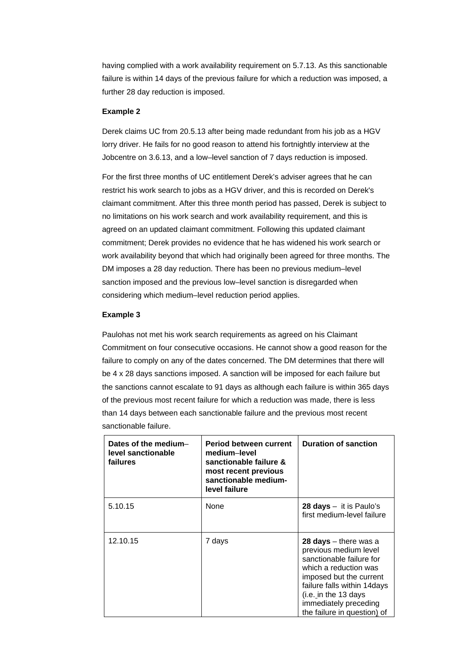further 28 day reduction is imposed. having complied with a work availability requirement on 5.7.13. As this sanctionable failure is within 14 days of the previous failure for which a reduction was imposed, a

#### **Example 2**

Derek claims UC from 20.5.13 after being made redundant from his job as a HGV lorry driver. He fails for no good reason to attend his fortnightly interview at the Jobcentre on 3.6.13, and a low–level sanction of 7 days reduction is imposed.

For the first three months of UC entitlement Derek's adviser agrees that he can restrict his work search to jobs as a HGV driver, and this is recorded on Derek's claimant commitment. After this three month period has passed, Derek is subject to no limitations on his work search and work availability requirement, and this is agreed on an updated claimant commitment. Following this updated claimant commitment; Derek provides no evidence that he has widened his work search or work availability beyond that which had originally been agreed for three months. The DM imposes a 28 day reduction. There has been no previous medium–level sanction imposed and the previous low–level sanction is disregarded when considering which medium–level reduction period applies.

#### **Example 3**

Paulohas not met his work search requirements as agreed on his Claimant Commitment on four consecutive occasions. He cannot show a good reason for the failure to comply on any of the dates concerned. The DM determines that there will be 4 x 28 days sanctions imposed. A sanction will be imposed for each failure but the sanctions cannot escalate to 91 days as although each failure is within 365 days of the previous most recent failure for which a reduction was made, there is less than 14 days between each sanctionable failure and the previous most recent sanctionable failure.

| Dates of the medium-<br>level sanctionable<br>failures | <b>Period between current</b><br>medium-level<br>sanctionable failure &<br>most recent previous<br>sanctionable medium-<br>level failure | <b>Duration of sanction</b>                                                                                                                                                                                                                     |
|--------------------------------------------------------|------------------------------------------------------------------------------------------------------------------------------------------|-------------------------------------------------------------------------------------------------------------------------------------------------------------------------------------------------------------------------------------------------|
| 5.10.15                                                | None                                                                                                                                     | 28 days $-$ it is Paulo's<br>first medium-level failure                                                                                                                                                                                         |
| 12.10.15                                               | 7 days                                                                                                                                   | 28 days $-$ there was a<br>previous medium level<br>sanctionable failure for<br>which a reduction was<br>imposed but the current<br>failure falls within 14days<br>(i.e. in the 13 days<br>immediately preceding<br>the failure in question) of |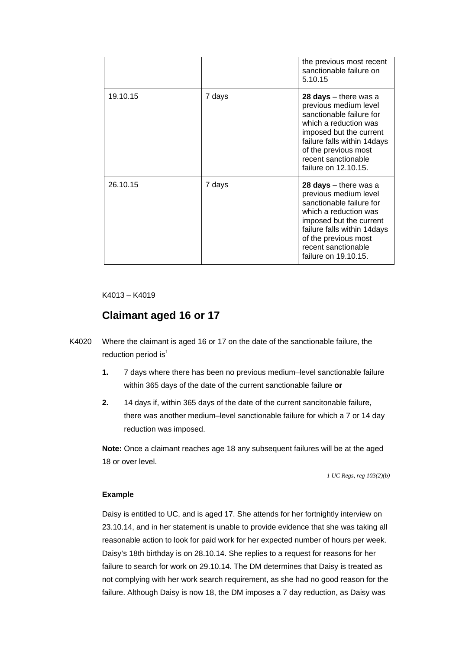|          |        | the previous most recent<br>sanctionable failure on<br>5.10.15                                                                                                                                                                         |
|----------|--------|----------------------------------------------------------------------------------------------------------------------------------------------------------------------------------------------------------------------------------------|
| 19.10.15 | 7 days | 28 days $-$ there was a<br>previous medium level<br>sanctionable failure for<br>which a reduction was<br>imposed but the current<br>failure falls within 14days<br>of the previous most<br>recent sanctionable<br>failure on 12.10.15. |
| 26.10.15 | 7 days | 28 days $-$ there was a<br>previous medium level<br>sanctionable failure for<br>which a reduction was<br>imposed but the current<br>failure falls within 14days<br>of the previous most<br>recent sanctionable<br>failure on 19.10.15. |

K4013 – K4019

### **Claimant aged 16 or 17**

- K4020 Where the claimant is aged 16 or 17 on the date of the sanctionable failure, the reduction period is $<sup>1</sup>$ </sup>
	- **1.** 7 days where there has been no previous medium–level sanctionable failure within 365 days of the date of the current sanctionable failure **or**
	- **2.** 14 days if, within 365 days of the date of the current sancitonable failure, there was another medium–level sanctionable failure for which a 7 or 14 day reduction was imposed.

**Note:** Once a claimant reaches age 18 any subsequent failures will be at the aged 18 or over level.

*1 UC Regs, reg 103(2)(b)*

#### **Example**

Daisy is entitled to UC, and is aged 17. She attends for her fortnightly interview on 23.10.14, and in her statement is unable to provide evidence that she was taking all reasonable action to look for paid work for her expected number of hours per week. Daisy's 18th birthday is on 28.10.14. She replies to a request for reasons for her failure to search for work on 29.10.14. The DM determines that Daisy is treated as not complying with her work search requirement, as she had no good reason for the failure. Although Daisy is now 18, the DM imposes a 7 day reduction, as Daisy was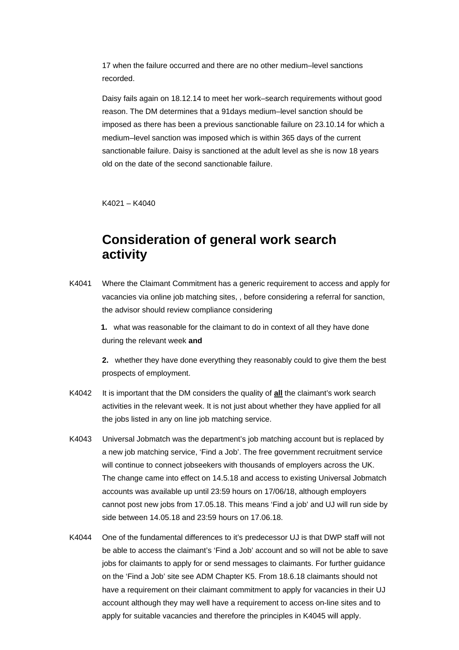17 when the failure occurred and there are no other medium–level sanctions recorded.

Daisy fails again on 18.12.14 to meet her work–search requirements without good reason. The DM determines that a 91days medium–level sanction should be imposed as there has been a previous sanctionable failure on 23.10.14 for which a medium–level sanction was imposed which is within 365 days of the current sanctionable failure. Daisy is sanctioned at the adult level as she is now 18 years old on the date of the second sanctionable failure.

K4021 – K4040

## **Consideration of general work search activity**

K4041 Where the Claimant Commitment has a generic requirement to access and apply for vacancies via online job matching sites, , before considering a referral for sanction, the advisor should review compliance considering

**1.** what was reasonable for the claimant to do in context of all they have done during the relevant week **and** 

**2.** whether they have done everything they reasonably could to give them the best prospects of employment.

- K4042 It is important that the DM considers the quality of **all** the claimant's work search activities in the relevant week. It is not just about whether they have applied for all the jobs listed in any on line job matching service.
- K4043 Universal Jobmatch was the department's job matching account but is replaced by a new job matching service, 'Find a Job'. The free government recruitment service will continue to connect jobseekers with thousands of employers across the UK. The change came into effect on 14.5.18 and access to existing Universal Jobmatch accounts was available up until 23:59 hours on 17/06/18, although employers cannot post new jobs from 17.05.18. This means 'Find a job' and UJ will run side by side between 14.05.18 and 23:59 hours on 17.06.18.
- K4044 One of the fundamental differences to it's predecessor UJ is that DWP staff will not be able to access the claimant's 'Find a Job' account and so will not be able to save jobs for claimants to apply for or send messages to claimants. For further guidance on the 'Find a Job' site see ADM Chapter K5. From 18.6.18 claimants should not have a requirement on their claimant commitment to apply for vacancies in their UJ account although they may well have a requirement to access on-line sites and to apply for suitable vacancies and therefore the principles in K4045 will apply.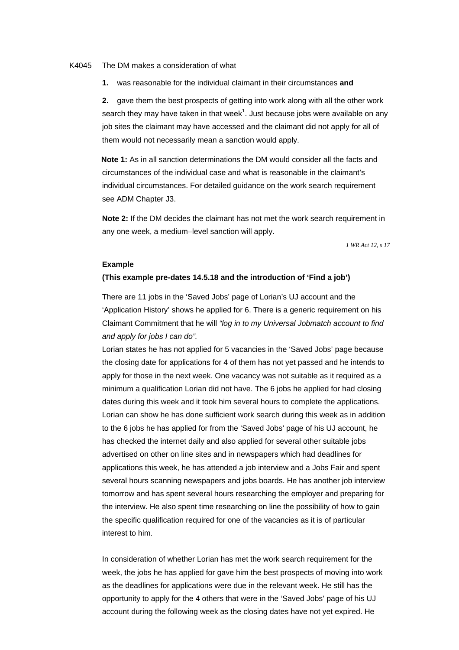#### K4045 The DM makes a consideration of what

**1.** was reasonable for the individual claimant in their circumstances **and** 

**2.** gave them the best prospects of getting into work along with all the other work search they may have taken in that week<sup>1</sup>. Just because jobs were available on any job sites the claimant may have accessed and the claimant did not apply for all of them would not necessarily mean a sanction would apply.

**Note 1:** As in all sanction determinations the DM would consider all the facts and circumstances of the individual case and what is reasonable in the claimant's individual circumstances. For detailed guidance on the work search requirement see ADM Chapter J3.

**Note 2:** If the DM decides the claimant has not met the work search requirement in any one week, a medium–level sanction will apply.

*1 WR Act 12, s 17* 

#### **Example**

#### **(This example pre-dates 14.5.18 and the introduction of 'Find a job')**

 *and apply for jobs I can do".* There are 11 jobs in the 'Saved Jobs' page of Lorian's UJ account and the 'Application History' shows he applied for 6. There is a generic requirement on his Claimant Commitment that he will *"log in to my Universal Jobmatch account to find* 

Lorian states he has not applied for 5 vacancies in the 'Saved Jobs' page because the closing date for applications for 4 of them has not yet passed and he intends to apply for those in the next week. One vacancy was not suitable as it required as a minimum a qualification Lorian did not have. The 6 jobs he applied for had closing dates during this week and it took him several hours to complete the applications. Lorian can show he has done sufficient work search during this week as in addition to the 6 jobs he has applied for from the 'Saved Jobs' page of his UJ account, he has checked the internet daily and also applied for several other suitable jobs advertised on other on line sites and in newspapers which had deadlines for applications this week, he has attended a job interview and a Jobs Fair and spent several hours scanning newspapers and jobs boards. He has another job interview tomorrow and has spent several hours researching the employer and preparing for the interview. He also spent time researching on line the possibility of how to gain the specific qualification required for one of the vacancies as it is of particular interest to him.

In consideration of whether Lorian has met the work search requirement for the week, the jobs he has applied for gave him the best prospects of moving into work as the deadlines for applications were due in the relevant week. He still has the opportunity to apply for the 4 others that were in the 'Saved Jobs' page of his UJ account during the following week as the closing dates have not yet expired. He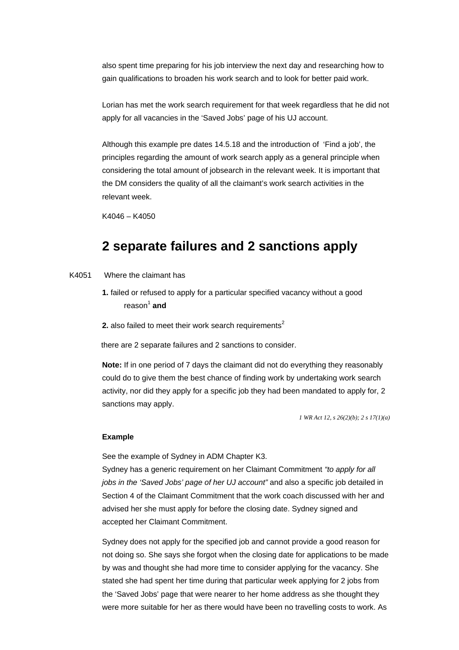also spent time preparing for his job interview the next day and researching how to gain qualifications to broaden his work search and to look for better paid work.

Lorian has met the work search requirement for that week regardless that he did not apply for all vacancies in the 'Saved Jobs' page of his UJ account.

Although this example pre dates 14.5.18 and the introduction of 'Find a job', the principles regarding the amount of work search apply as a general principle when considering the total amount of jobsearch in the relevant week. It is important that the DM considers the quality of all the claimant's work search activities in the relevant week.

K4046 – K4050

## **2 separate failures and 2 sanctions apply**

#### K4051 Where the claimant has

reason<sup>1</sup> and **1.** failed or refused to apply for a particular specified vacancy without a good

**2.** also failed to meet their work search requirements<sup>2</sup>

there are 2 separate failures and 2 sanctions to consider.

**Note:** If in one period of 7 days the claimant did not do everything they reasonably could do to give them the best chance of finding work by undertaking work search activity, nor did they apply for a specific job they had been mandated to apply for, 2 sanctions may apply.

*1 WR Act 12, s 26(2)(b); 2 s 17(1)(a)*

#### **Example**

See the example of Sydney in ADM Chapter K3.

Sydney has a generic requirement on her Claimant Commitment *"to apply for all jobs in the 'Saved Jobs' page of her UJ account"* and also a specific job detailed in Section 4 of the Claimant Commitment that the work coach discussed with her and advised her she must apply for before the closing date. Sydney signed and accepted her Claimant Commitment.

Sydney does not apply for the specified job and cannot provide a good reason for not doing so. She says she forgot when the closing date for applications to be made by was and thought she had more time to consider applying for the vacancy. She stated she had spent her time during that particular week applying for 2 jobs from the 'Saved Jobs' page that were nearer to her home address as she thought they were more suitable for her as there would have been no travelling costs to work. As